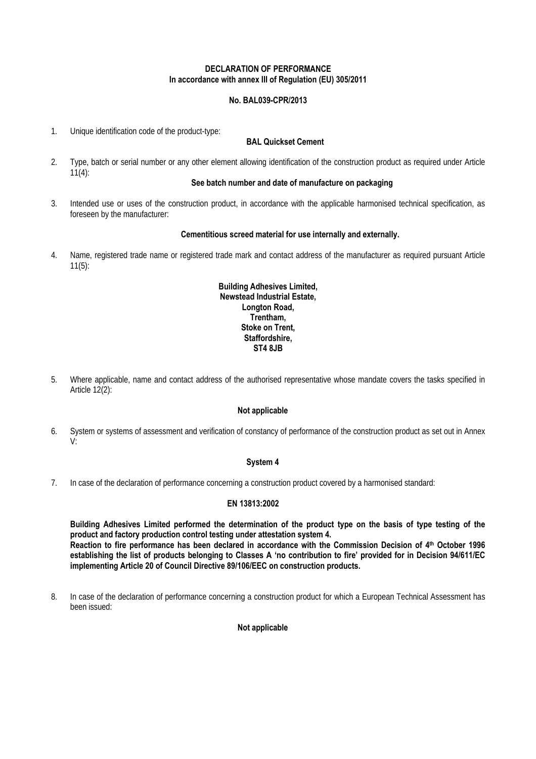## **DECLARATION OF PERFORMANCE In accordance with annex III of Regulation (EU) 305/2011**

# **No. BAL039-CPR/2013**

1. Unique identification code of the product-type:

## **BAL Quickset Cement**

2. Type, batch or serial number or any other element allowing identification of the construction product as required under Article  $11(4)$ :

# **See batch number and date of manufacture on packaging**

3. Intended use or uses of the construction product, in accordance with the applicable harmonised technical specification, as foreseen by the manufacturer:

#### **Cementitious screed material for use internally and externally.**

4. Name, registered trade name or registered trade mark and contact address of the manufacturer as required pursuant Article 11(5):

## **Building Adhesives Limited, Newstead Industrial Estate, Longton Road, Trentham, Stoke on Trent, Staffordshire, ST4 8JB**

5. Where applicable, name and contact address of the authorised representative whose mandate covers the tasks specified in Article 12(2):

#### **Not applicable**

6. System or systems of assessment and verification of constancy of performance of the construction product as set out in Annex V:

#### **System 4**

7. In case of the declaration of performance concerning a construction product covered by a harmonised standard:

#### **EN 13813:2002**

**Building Adhesives Limited performed the determination of the product type on the basis of type testing of the product and factory production control testing under attestation system 4. Reaction to fire performance has been declared in accordance with the Commission Decision of 4th October 1996 establishing the list of products belonging to Classes A 'no contribution to fire' provided for in Decision 94/611/EC implementing Article 20 of Council Directive 89/106/EEC on construction products.** 

8. In case of the declaration of performance concerning a construction product for which a European Technical Assessment has been issued:

## **Not applicable**